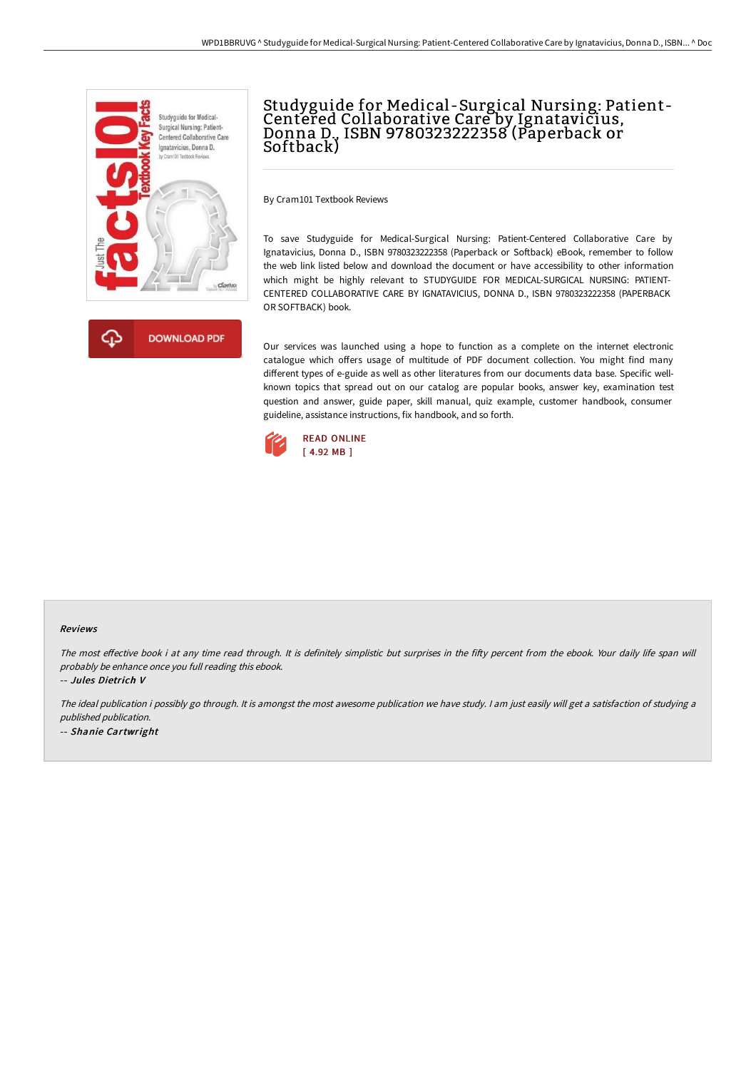



# Studyguide for Medical -Surgical Nursing: Patient-Centered Collaborative Care by Ignatavicius, Donna D., ISBN 9780323222358 (Paperback or Softback)

By Cram101 Textbook Reviews

To save Studyguide for Medical-Surgical Nursing: Patient-Centered Collaborative Care by Ignatavicius, Donna D., ISBN 9780323222358 (Paperback or Softback) eBook, remember to follow the web link listed below and download the document or have accessibility to other information which might be highly relevant to STUDYGUIDE FOR MEDICAL-SURGICAL NURSING: PATIENT-CENTERED COLLABORATIVE CARE BY IGNATAVICIUS, DONNA D., ISBN 9780323222358 (PAPERBACK OR SOFTBACK) book.

Our services was launched using a hope to function as a complete on the internet electronic catalogue which offers usage of multitude of PDF document collection. You might find many different types of e-guide as well as other literatures from our documents data base. Specific wellknown topics that spread out on our catalog are popular books, answer key, examination test question and answer, guide paper, skill manual, quiz example, customer handbook, consumer guideline, assistance instructions, fix handbook, and so forth.



#### Reviews

The most effective book i at any time read through. It is definitely simplistic but surprises in the fifty percent from the ebook. Your daily life span will probably be enhance once you full reading this ebook.

-- Jules Dietrich V

The ideal publication i possibly go through. It is amongst the most awesome publication we have study. I am just easily will get a satisfaction of studying a published publication. -- Shanie Cartwright